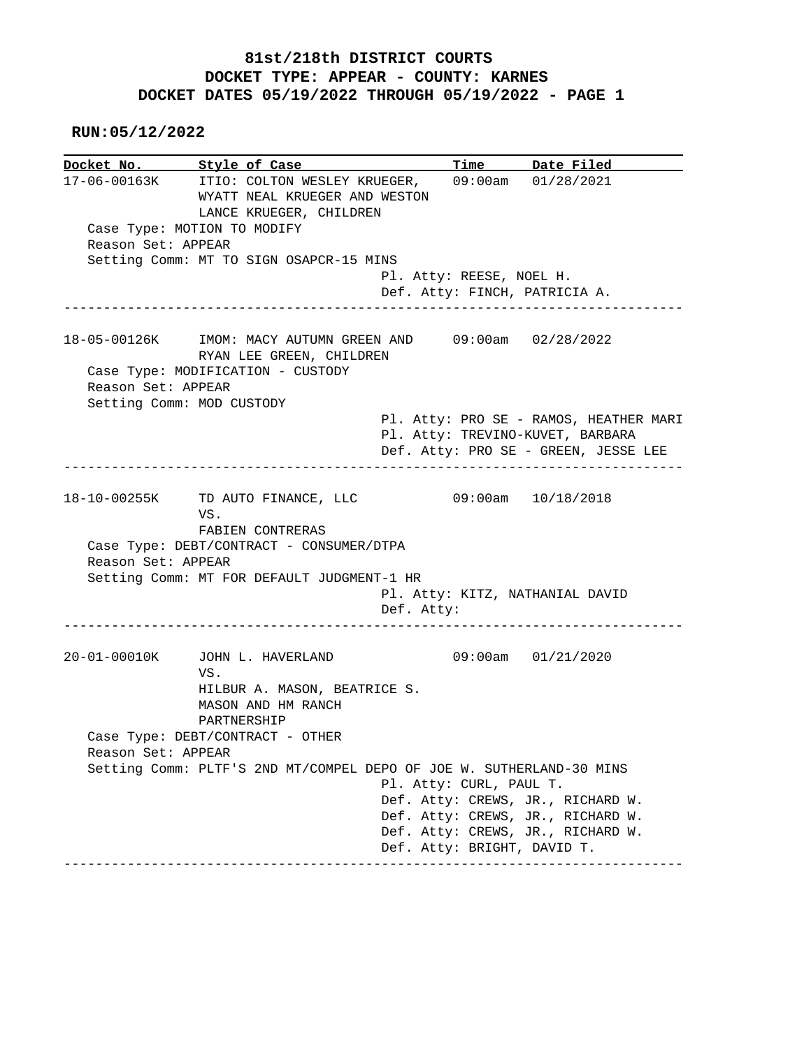## **81st/218th DISTRICT COURTS DOCKET TYPE: APPEAR - COUNTY: KARNES DOCKET DATES 05/19/2022 THROUGH 05/19/2022 - PAGE 1**

 **RUN:05/12/2022**

**Docket No. Style of Case Time Date Filed**  17-06-00163K ITIO: COLTON WESLEY KRUEGER, 09:00am 01/28/2021 WYATT NEAL KRUEGER AND WESTON LANCE KRUEGER, CHILDREN Case Type: MOTION TO MODIFY Reason Set: APPEAR Setting Comm: MT TO SIGN OSAPCR-15 MINS Pl. Atty: REESE, NOEL H. Def. Atty: FINCH, PATRICIA A. ------------------------------------------------------------------------------ 18-05-00126K IMOM: MACY AUTUMN GREEN AND 09:00am 02/28/2022 RYAN LEE GREEN, CHILDREN Case Type: MODIFICATION - CUSTODY Reason Set: APPEAR Setting Comm: MOD CUSTODY Pl. Atty: PRO SE - RAMOS, HEATHER MARI Pl. Atty: TREVINO-KUVET, BARBARA Def. Atty: PRO SE - GREEN, JESSE LEE ------------------------------------------------------------------------------ 18-10-00255K TD AUTO FINANCE, LLC 09:00am 10/18/2018 VS. FABIEN CONTRERAS Case Type: DEBT/CONTRACT - CONSUMER/DTPA Reason Set: APPEAR Setting Comm: MT FOR DEFAULT JUDGMENT-1 HR Pl. Atty: KITZ, NATHANIAL DAVID Def. Atty: ------------------------------------------------------------------------------ 20-01-00010K JOHN L. HAVERLAND 09:00am 01/21/2020 VS. HILBUR A. MASON, BEATRICE S. MASON AND HM RANCH PARTNERSHIP Case Type: DEBT/CONTRACT - OTHER Reason Set: APPEAR Setting Comm: PLTF'S 2ND MT/COMPEL DEPO OF JOE W. SUTHERLAND-30 MINS Pl. Atty: CURL, PAUL T. Def. Atty: CREWS, JR., RICHARD W. Def. Atty: CREWS, JR., RICHARD W. Def. Atty: CREWS, JR., RICHARD W. Def. Atty: BRIGHT, DAVID T. ------------------------------------------------------------------------------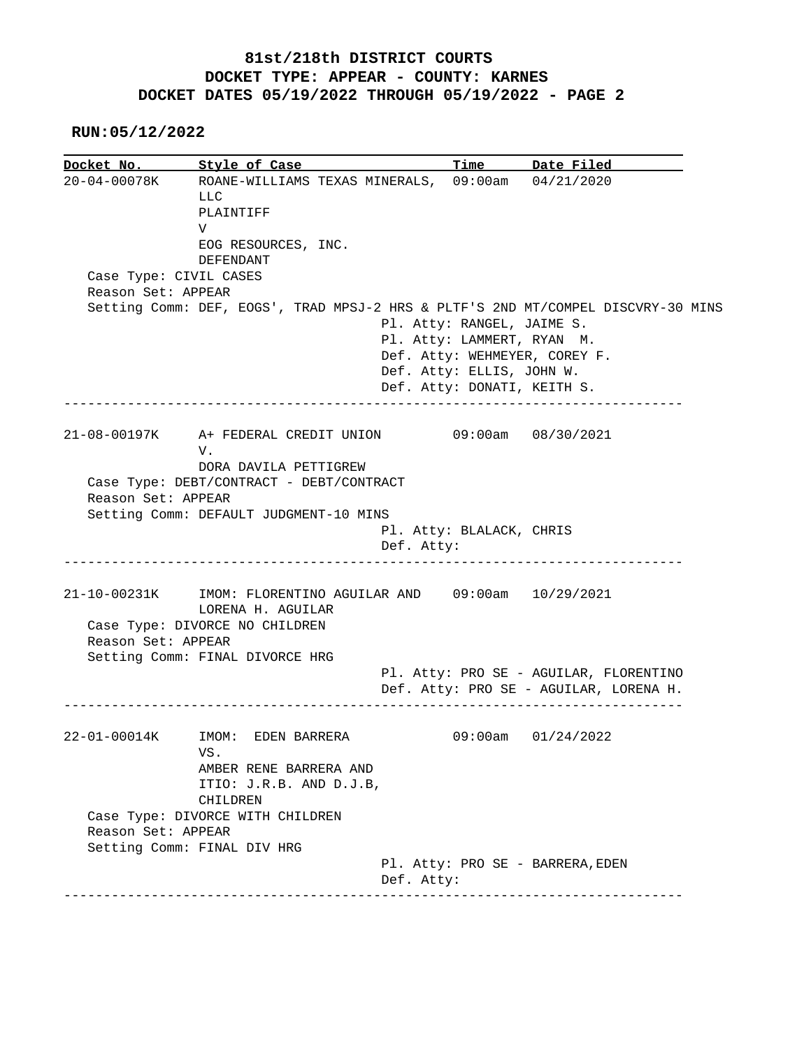## **81st/218th DISTRICT COURTS DOCKET TYPE: APPEAR - COUNTY: KARNES DOCKET DATES 05/19/2022 THROUGH 05/19/2022 - PAGE 2**

 **RUN:05/12/2022**

**Docket No. Style of Case Time Date Filed**  20-04-00078K ROANE-WILLIAMS TEXAS MINERALS, 09:00am 04/21/2020 LLC PLAINTIFF V EOG RESOURCES, INC. DEFENDANT Case Type: CIVIL CASES Reason Set: APPEAR Setting Comm: DEF, EOGS', TRAD MPSJ-2 HRS & PLTF'S 2ND MT/COMPEL DISCVRY-30 MINS Pl. Atty: RANGEL, JAIME S. Pl. Atty: LAMMERT, RYAN M. Def. Atty: WEHMEYER, COREY F. Def. Atty: ELLIS, JOHN W. Def. Atty: DONATI, KEITH S. ------------------------------------------------------------------------------ 21-08-00197K A+ FEDERAL CREDIT UNION 09:00am 08/30/2021 V. DORA DAVILA PETTIGREW Case Type: DEBT/CONTRACT - DEBT/CONTRACT Reason Set: APPEAR Setting Comm: DEFAULT JUDGMENT-10 MINS Pl. Atty: BLALACK, CHRIS Def. Atty: ------------------------------------------------------------------------------ 21-10-00231K IMOM: FLORENTINO AGUILAR AND 09:00am 10/29/2021 LORENA H. AGUILAR Case Type: DIVORCE NO CHILDREN Reason Set: APPEAR Setting Comm: FINAL DIVORCE HRG Pl. Atty: PRO SE - AGUILAR, FLORENTINO Def. Atty: PRO SE - AGUILAR, LORENA H. ------------------------------------------------------------------------------ 22-01-00014K IMOM: EDEN BARRERA 09:00am 01/24/2022 VS. AMBER RENE BARRERA AND ITIO: J.R.B. AND D.J.B, CHILDREN Case Type: DIVORCE WITH CHILDREN Reason Set: APPEAR Setting Comm: FINAL DIV HRG Pl. Atty: PRO SE - BARRERA,EDEN Def. Atty: ------------------------------------------------------------------------------